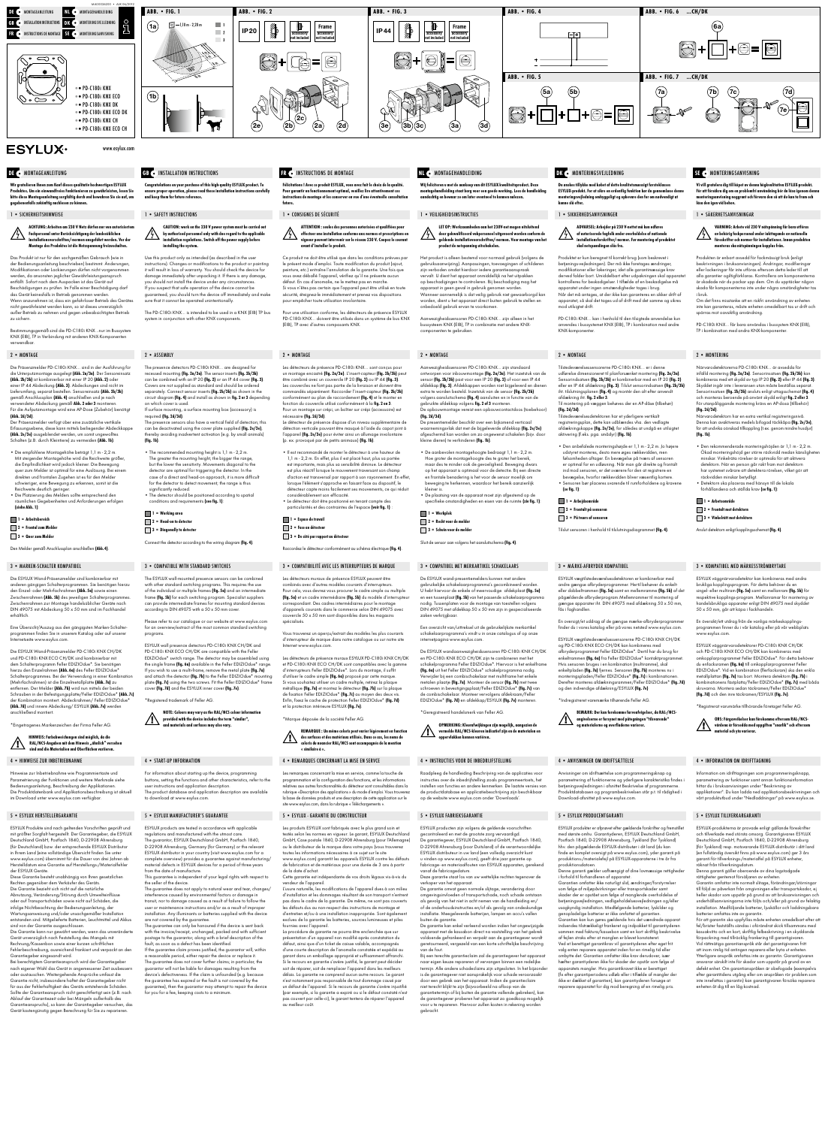www.esylux.com

Wir gratulieren Ihnen zum Kauf dieses qualitativ hochwertigen ESYLUX Produktes. Um ein einwandfreies Funktionieren zu gewährleisten, lesen Sie bitte diese Montageanleitung sorgfältig durch und bewahren Sie sie auf, um gegebenenfalls zukünftig nachlesen zu können.

### 1 • SICHERHEITSHINWEISE

ACHTUNG: Arbeiten am 230 V Netz dürfen nur von autorisiertem Fachpersonal unter Berücksichtigung der landesüblichen Installationsvorschriften/-normen ausgeführt werden. Vor der Montage des Produktes ist die Netzspannung freizuschalten.

.<br>Igsgemäß sind die PD-C180i KNX…nur im Bussysten KNX (EIB), TP in Verbindung mit anderen KNX-Komponenten verwendbar.

Erfassungsebene, diese kann mittels beiliegender Abdeckkappe (Abb. 2e/3e) ausgeblendet werden, um somit ungewolltes .<br>Schalten (z.B. durch Kleintiere) zu vermeiden **(Abb. 1b)**.

Das Produkt ist nur für den sachgemäßen Gebrauch (wie in der Bedienungsanleitung beschrieben) bestimmt. Änderungen, Modifikationen oder Lackierungen dürfen nicht vorgeno werden, da ansonsten jeglicher Gewährleistungsanspruch entfällt. Sofort nach dem Auspacken ist das Gerät auf Beschädigungen zu prüfen. Im Falle einer Beschädigung darf das Gerät keinesfalls in Betrieb genommen werden. Wenn anzunehmen ist, dass ein gefahrloser Betrieb des Gerätes nicht gewährleistet werden kann, so ist dieses unverzüglich außer Betrieb zu nehmen und gegen unbeabsichtigten Betrieb zu sichern.

1 = Arbeitsbereich 2 = Frontal zum Melder

3 = Quer zum Melder

### 2 • MONTAGE

Eine Übersicht/Auszug aus den gängigsten Marken-Schalterprogrammen finden Sie in unserem Katalog oder auf unserer netseite www.esylux.com.

Die Präsenzmelder PD-C180i KNX… sind in der Ausführung für die Unterputzmontage ausgelegt **(Abb. 2a/3a)**. Der Sensoreinsatz<br>**(Abb. 2b/3b)** ist kombinierbar mit einer IP 20 **(Abb. 2)** oder einer IP 44 Abdeckung (Abb. 3). Abdeckungen sind nicht im Lieferumfang, separat bestellen. Sensoreinsatz (Abb. 2b/3b) gemäß Anschlussplan (Abb. 4) anschließen und je nach verwendeter Abdeckung gemäß **Abb. 2 oder 3** montieren.<br>Für die Aufputzmontage wird eine AP-Dose (Zubehör) benötigt (Abb. 2d/3d). Der Präsenzmelder verfügt über eine zusätzliche vertikale

Hinweise zur Inbetriebnahme wie Programmiertaste und Parametrierung der Funktionen und weitere Merkmale siehe Bedienungsanleitung, Beschreibung der Applikationen. Die Produktdatenbank und Applikationsbeschreibung ist aktuell im Download unter www.esylux.com verfügba

• Die empfohlene Montagehöhe beträgt 1,1 m - 2,2 m. Mit steigender Montagehöhe wird die Reichweite größer, die Empfindlichkeit wird jedoch kleiner. Die Bewegung quer zum Melder ist optimal für eine Auslösung. Bei einem direkten und frontalen Zugehen ist es für den Melder schwieriger, eine Bewegung zu erkennen, somit ist die Reichweite deutlich geringer.

• Die Platzierung des Melders sollte entsprechend den räumlichen Gegebenheiten und Anforderungen erfolgen (siehe Abb. 1):

Den Melder gemäß Anschlussplan anschließen (Abb. 4).

### 3 • MARKEN-SCHALTER KOMPATIBEL

Die ESYLUX Wand-Präsenzmelder sind kombinierbar mit anderen gängigen Schalterprogrammen. Sie benötigen hierzu den Einzel- oder Mehrfachrahmen (Abb. 5a) sowie einen Zwischenrahmen (Abb. 5b) des jeweiligen Schalterprogrammes Zwischenrahmen zur Montage handelsüblicher Geräte nach DIN 49075 mit Abdeckung 50 x 50 mm sind im Fachhandel erhältlich.

Die ESYLUX Wand-Präsenzmelder PD-C180i KNX CH/DK und PD-C180i KNX ECO CH/DK sind kombinierbar mit dem Schalterprogramm Feller EDIZIOdue\*. Sie benötigen hierzu den Einzelrahmen (Abb. 6a) des Feller EDIZIOdue\* Schalterprogrammes. Bei der Verwendung in einer Kombin (Mehrfachrahmen) ist die Einzelmetallplatte (Abb. 7a) zu entfernen. Der Melder **(Abb. 7b)** wird nun mittels der beide emienten. Der wielder **(Abb. 7b)** wird non miners der beiden<br>Schrauben in der Befestigungsplatte/Feller EDIZIOdue\* **(Abb. 7c)** der Kombination montiert. Abdeckrahmen/ Feller EDIZIOdue\* (Abb. 7d) und innere Abdeckung/ ESYLUX (Abb. 7e) werden anschließend montiert.

\*Eingetragenes Markenzeichen der Firma Feller AG.

# DE • MONTAGEANLEITUNG GB • INSTALLATION INSTRUCTIONS

HINWEIS: Farbabweichungen sind möglich, da die RAL/NCS-Angaben mit dem Hinweis "ähnlich" verseher sind und die Materialien und Oberflächen variieren.

1 = Arbetsområde 2 = Frontalt mot detektorn 3 = Vinkelrätt mot detektorn

### 4 • HINWEISE ZUR INBETRIEBNAHME

### 5 • ESYLUX HERSTELLERGARANTIE

ESYLUX Produkte sind nach geltenden Vorschriften geprüft und mit größter Sorgfalt hergestellt. Der Garantiegeber, die ESYLUX Deutschland GmbH, Postfach 1840, D-22908 Ahrensburg (für Deutschland) bzw. der entsprechende ESYLUX Distributor in Ihrem Land (eine vollständige Übersicht finden Sie unter www.esylux.com) übernimmt für die Dauer von drei Jahren ab Herstelldatum eine Garantie auf Herstellungs-/Materialfehler der ESYLUX Geräte.

Diese Garantie besteht unabhängig von Ihren gesetzlichen Rechten gegenüber dem Verkäufer des Geräts. Die Garantie bezieht sich nicht auf die natürliche Abnutzung, Veränderung/Störung durch Umwelteinflüsse oder auf Transportschäden sowie nicht auf Schäden, die infolge Nichtbeachtung der Bedienungsanleitung, der Wartungsanweisung und/oder unsachgemäßer Installation entstanden sind. Mitgelieferte Batterien, Leuchtmittel und Akkus sind von der Garantie ausgeschlossen. Die Garantie kann nur gewährt werden, wenn das unveränderte Gerät unverzüglich nach Feststellung des Mangels mit

Rechnung/Kassenbon sowie einer kurzen schriftlichen Fehlerbeschreibung, ausreichend frankiert und verpackt an den Garantiegeber eingesandt wird. Bei berechtigtem Garantieanspruch wird der Garantiegeber

tulations on your purchase of this high-quality ESYLUX product. To ensure proper operation, please read these installation instructions carefully and keep them for future reference.

### 1 • SAFETY INSTRUCTIONS

nach eigener Wahl das Gerät in angemessener Zeit ausbessern oder austauschen. Weitergehende Ansprüche umfasst die Garantie nicht, insbesondere haftet der Garantiegeber nicht für aus der Fehlerhaftigkeit des Geräts entstehende Schäden. Sollte der Garantieanspruch nicht gerechtfertigt sein (z.B. nach Ablauf der Garantiezeit oder bei Mängeln außerhalb des Garantieanspruchs), so kann der Garantiegeber versuchen, das Gerät kostengünstig gegen Berechnung für Sie zu reparieren.

The PD-C180i KNX... is intended to be used in a KNX (EIB) TP bus system in conjunction with other KNX components

### 2 • ASSEMBLY

The presence detectors PD-C180i KNX… are designed for recessed mounting (fig. 2a/3a). The sensor inserts (fig. 2b/3b) can be combined with an IP 20 (fig. 2) or an IP 44 cover (fig. 3). Covers are not supplied as standard and should be ordered separately. Connect sensor inserts (fig. 2b/3b) as shown in the circuit diagram (fig. 4) and install as shown in fig. 2 or 3 depending n which cover is used

Vi vill gratulera dig till köpet av denna högkvalitativa ESYLUX-produkt. För att försäkra dig om en problemfri användning bör du läsa igenom denna monteringsanvisning noggrant och förvara den så att du kan ta fram och läsa den igen vid behov.

### 1 • SÄKERHETSANVISNINGAR

If surface mounting, a surface mounting box (accessory) is required (fig. 2d/3d). The presence sensors also have a vertical field of detection; this can be deactivated using the cover plate supplied (fig. 2e/3e)

VARNING: Arbete vid 230 V nätspänning får bara utföras av behörig fackpersonal under iakttagande av nationella föreskrifter och normer för installationer. Innan produkten monteras ska nätspänningen kopplas från.

 1 = Working area  $\Box$  2 = Head-on to detector 3 = Diagonally to detector Produkten är enbart avsedd för fackmässigt bruk (enligt beskrivningen i bruksanvisningen). Ändringar, modifieringar eller lackeringar får inte utföras eftersom detta leder till att alla garantier ogiltigförklaras. Kontrollera om komponenterna är skadade när du packar upp dem. Om du upptäcker någon skada får komponenterna inte under några omständigheter tas i bruk.

Om det finns misstanke att en riskfri användning av enheten inte kan garanteras, måste enheten omedelbart tas ur drift och spärras mot oavsiktlig användning.

PD-C180i KNX… får bara användas i bussystem KNX (EIB),

2 • MONTERING

Närvarodetektorerna PD-C180i KNX... är avsedda för infälld montering (fig. 2a/3a). Sensorinsatsen (fig. 2b/3b) kan kombineras med ett skydd av typ IP 20 (fig. 2) eller IP 44 (fig. 3). Skyddet ingår inte i leveransen utan måste beställas separa Sensorinsatsen (fig. 2b/3b) ansluts enligt uttagsschemat (fig. 4) och monteras beroende på använt skydd enligt fig. 2 eller 3. För utanpåliggande montering krävs en AP-dosa (tillbehör)

1999 – 1999 – 1999 – 1999 – 1999 – 1999 – 1999 – 1999 – 1999 – 1999 – 1999 – 1999 – 1999 – 1999 – 1999 – 1999<br>Indianale variation of the state of the state of the state of the state of the state of the state of the state Denna kan avaktiveras medels bifogad täckkåpa (fig. 2e/3e), för att undvika oönskad tillkoppling (t.ex. genom n

ESYLUX products are tested in accordance with applicable regulations and manufactured with the utmost care. The guarantor, ESYLUX Deutschland GmbH, Postfach 1840, D-22908 Ahrensburg, Germany (for Germany) or the relevant ESYLUX distributor in your country (visit www.esylux.com for a complete overview) provides a guarantee against manufacturing/ material defects in ESYLUX devices for a period of three years from the date of manufactur

(fig. 2d/3d).

(fig. 1b).

The guarantee does not apply to natural wear and tear, changes/ rence caused by environmental factors or damage i transit, nor to damage caused as a result of failure to follow the user or maintenance instructions and/or as a result of improper installation. Any illuminants or batteries supplied with the device are not covered by the guarantee.

• Den rekommenderade monteringshöjden är 1,1 m - 2,2 m. Ökad monteringshöjd ger större räckvidd medan känsligheten minskar. Vinkelräta rörelser är optimala för att aktivera detektorn. När en person går rakt fram mot detektorn har systemet svårare att detektera rörelsen, vilket gör att räckvidden minskar betydligt. • Detektorn ska placeras med hänsyn till de lokala förhållandena och ställda krav (se fig. 1):

TP i kombination med andra KNX-kompone

If the guarantee claim proves justified, the guarantor will, within anable period, either repair the device or replace it $\,$ The guarantee does not cover further claims; in particular, the pr will not be liable for damages resulting from the device's defectiveness. If the claim is unfounded (e.g. because the guarantee has expired or the fault is not covered by the guarantee), then the guarantor may attempt to repair the device for you for a fee, keeping costs to a minim

Anslut detektorn enligt kopplingsschemat (fig. 4).

3 • KOMPATIBEL MED MÄRKESSTRÖMBRYTARE

ns ! Avec ce produit ESYLUX, vous avez fait le choix de la qualité. Pour garantir un fonctionnement optimal, veuillez lire attentivement ces ons de montage et les conserver en vue d'une éventuelle consultation future.

> ESYLUX väggnärvarodetektor kan kombineras med andra brukliga kopplingsprogram. För detta behöver du en singel- eller multiram (fig. 5a) samt en mellanram (fig. 5b) för respektive kopplings-program. Mellanramar för montering av handelsbrukliga apparater enligt DIN 49075 med skyddet

50 x 50 mm, går att köpa i fackhandeln.

En översikt/ett utdrag från de vanliga märkeskopplingsprogrammen finner du i vår katalog eller på vår webbplats

www.esylux.com.

ESYLUX väggnärvarodetektorer PD-C180i KNX CH/DK och PD-C180i KNX ECO CH/DK kan kombineras med omkopplarprogrammet Feller EDIZIOdue\*. För detta behöver du enfacksramen (fig. 6a) till omkopplarprogrammet Feller EDIZIOdue\*. Vid en kombination (flerfacksram) ska den enkla metallplattan (fig. 7a) tas bort. Montera detektorn (fig. 7b) i kombinationens fästplatta/Feller EDIZIOdue\* (fig. 7c) med båda skruvarna. Montera sedan täckramen/Feller EDIZIOdue\* (fig. 7d) och den inre täckramen/ESYLUX (fig. 7e). \*Registrerat varumärke tillhörande företaget Feller AG.

> OBS: Färgavvikelser kan förekomma eftersom RAL-/NCSvärdena är försedda med uppgiften "snarlik" och eftersom

material och yta varierar.

### 4 • INFORMATION OM IDRIFTTAGNING

 $\blacksquare$  1 = Espace de travail 2 = Face au détecteur 3 = De côté par rapport au détecteur

> Information om idrifttagningen som programmeringsknapp, parametrering av funktioner samt annan funktionsinfor hittar du i bruksanvisningen under "Beskrivning av applikationer". Du kan ladda ned applikationsbeskrivningen och vårt produktutbud under "Nedladdningar" på www.esylux.se.

### 5 • ESYLUX TILLVERKARGARANTI

Les détecteurs de présence muraux ESYLUX PD-C180i KNX CH/DK et PD-C180i KNX ECO CH/DK sont compatibles avec la gamme d'interrupteurs Feller EDIZIOdue\*. Lors du montage, il suffit d'utiliser le cadre simple (fig. 6a) proposé par cette marque. Si vous souhaitez utiliser un cadre multiple, retirez la plaque métallique **(fig. 7a)** et montez le détecteur **(fig. 7b)** sur la plaque<br>de fixation Feller EDIZIOdue\* **(fig. 7c)** au moyen des deux vis. Enfin, fixez le cache de protection Feller EDIZIOdue\* (fig. 7d) et la protection intérieure ESYLUX (fig. 7e).

> ESYLUX-produkterna är provade enligt gällande föreskrifter och tillverkade med största omsorg. Garantigivaren ESYLUX Deutschland GmbH, Postfach 1840, D-22908 Ahrensburg (för Tyskland) resp. motsvarande ESYLUX-distributör i ditt land (en fullständig översikt finns på www.esylux.com) ger 3 års garanti för tillverknings-/materialfel på ESYLUX enheter, räknat från tillverkningsdatum.

Denna garanti gäller oberoende av dina lagstadgade rättigheter gentemot försäljaren av enheten.

Garantin omfattar inte normalt slitage, förändringar/störningar till följd av påverkan från omgivningen eller transportskador, ej heller skador som uppstår på grund av att bruksanvisningen och underhållsanvisningarna inte följts och/eller på grund av felaktig installation. Medföljande batterier, ljuskällor och laddningsbara batterier omfattas inte av garantin.

För att garantin ska uppfyllas måste enheten omedelbart efter att fel/brister fastställts sändas i oförändrat skick tillsammans med kassakvitto och en kort, skriftlig felbeskrivning i en skyddande förpackning med tillräcklig frankering till garantigivaren. Vid rättmätiga garantianspråk står det garantigivaren fritt att inom rimlig tid antingen reparera eller byta ut enheten. Ytterligare anspråk omfattas inte av garantin. Garantigivaren ansvarar särskilt inte för skador som uppstår på grund av en defekt enhet. Om garantianspråken är obefogade (exempelvis efter garantitidens utgång eller om anspråken rör problem som inte innefattas i garantin) kan garantigivaren försöka reparera enheten åt dig till en låg kostnad.

La procédure de garantie ne pourra être enclenchée que su présentation d'un appareil non modifié après constatation du défaut, ainsi que d'un ticket de caisse valable, accompagnés d'une courte description de l'anomalie constatée et expédié au garant dans un emballage approprié et suffisamment affranchi. Si le recours en garantie s'avère justifié, le garant peut décider soit de réparer, soit de remplacer l'appareil dans les meilleurs délais. La garantie ne comprend aucun autre recours. Le garant n'est notamment pas responsable de tout dommage causé pa un défaut de l'appareil. Si le recours de garantie s'avère injustifié (par exemple, si la garantie a expiré ou si le défaut constaté n'est pas couvert par celle-ci), le garant tentera de réparer l'appareil au meilleur coût.

CAUTION: work on the 230 V power system must be carried out by authorised personnel only with due regard to the applicable installation regulations. Switch off the power supply before installing the system.

> Aanwezigheidssensoren PD-C180i KNX… zijn alleen in het bussysteem KNX (EIB), TP in combinatie met andere KNXnenten te gebruiken

Use this product only as intended (as described in the user instructions). Changes or modifications to the product or painting it will result in loss of warranty. You should check the device for damage immediately after unpacking it. If there is any damage, you should not install the device under any circumstar If you suspect that safe operation of the device cannot be guaranteed, you should turn the device off immediately and make sure that it cannot be operated unintentionally.

## specifieke omstandigheden en eisen van de ruimte (zie fig. 1):  $\blacksquare$  1 = Werkplek 2 = Recht voor de melder

De ESYLUX wandaanwezigheidssensoren PD-C180i KNX CH/DK en PD-C180i KNX ECO CH/DK zijn te combineren met het schakelprogramma Feller EDIZIOdue\*. Hiervoor is het enkelframe (fig. 6a) uit het Feller EDIZIOdue\* schakelprogramma nodig. Verwijder bij een combischakelaar met multiframe het enkele metalen plaatje (fig. 7a). Monteer de sensor (fig. 7b) met twee schroeven in bevestigingsplaat/Feller EDIZIOdue\* **(fig. 7c)** van<br>de combischakelaar. Monteer vervolgens afdekraam/Feller EDIZIOdue\* (fig. 7d) en afdekkap/ESYLUX (fig. 7e) monterer

thereby avoiding inadvertent activation (e.g. by small animals) (fig. 1b).

> Α vermelde RAL/NCS-kleuren indicatief zijn en de materialen en  $\sqrt{1}$ oppervlakken kunnen variëren.

• The recommended mounting height is 1,1 m - 2,2 m. The greater the mounting height, the bigger the range. but the lower the sensitivity. Movements diagonal to the detector are optimal for triggering the detector. In the case of a direct and head-on approach, it is more difficult for the detector to detect movement; the range is thus significantly reduced. • The detector should be positioned according to spatial conditions and requirements (see fig. 1):

> Raadpleeg de handleiding Beschrijving van de applicaties voor instructies over de inbedrijfstelling zoals programmeertoets, het instellen van functies en andere kenmerken. De laatste versies van de productdatabase en applicatiebeschrijving zijn beschikbaar op de website www.esylux.com onder 'Dow

Connect the detector according to the wiring diagram (fig. 4).

### 3 • COMPATIBLE WITH STANDARD SWITCHES

De garantie omvat geen normale slijtage, verandering door omgevingsinvloeden of transportschade, noch schade ontstaan als gevolg van het niet in acht nemen van de handleiding en/ of de onderhoudsinstructies en/of als gevolg van ondeskundige installatie. Meegeleverde batterijen, lampen en accu's vallen buiten de gara

The ESYLUX wall-mounted presence sensors can be combined with other standard switching programs. This requires the use of the individual or multiple frames (fig. 5a) and an intermediate frame **(fig. 5b)** for each switching program. Specialist suppliers<br>can provide intermediate frames for mounting standard devices according to DIN 49075 with a 50 x 50 mm cover.

Please refer to our catalogue or our website at www.esylux.com for an overview/extract of the most common standard switching programs.

ESYLUX wall presence detectors PD-C180i KNX CH/DK and PD-C180i KNX ECO CH/DK are compatible with the Feller EDIZIOdue\* switch range. The detector may be assembled using the single frame **(fig. 6a)** available in the Feller EDIZIOdue\* range.<br>If you wish to use a multi-frame, remove the metal plate **(fig. 7a)** and attach the detector (fig. 7b) to the Feller EDIZIOdue\* plate (fig. 7c) using the two screws. Fit the Feller EDIZIOdue\* frame cover (fig. 7d) and the ESYLUX inner cover (fig. 7e).

\*Registered trademark of Feller AG.

PD-C180i KNX… kan i henhold til den tilsigtede anvendelse kun anvendes i bussystemet KNX (EIB), TP i kombination med andre KNX-komponente

NOTE: Colours may vary as the RAL/NCS colour information provided with the device includes the term "similar",<br>and materials and surfaces may also yary and materials and surfaces may also vary.

Tilstedeværelsessensorerne PD-C180i KNX… er i denne udførelse dimensioneret til planforsænket montering (fig. 2a/3a). Sensorindsatsen (fig. 2b/3b) er kombinerbar med en IP 20 (fig. 2) eller en IP 44 afdækning (fig. 3). Tilslut sensorindsatsen (fig. 2b/3b) iht. tilslutningsplanen (fig. 4) og montér den alt efter anvendt afdækning iht. **fig. 2 eller 3**.<br>Til montering på væggen b .<br>Ing på væggen behøves der en AP-dåse (tilbehør)

4 • START-UP INFORMATION

For information about starting up the device, programmin buttons, setting the functions and other characteristics, refer to the user instructions and application description. The product database and application description are available . .<br>wnload at www.esylux.com

### 5 • ESYLUX MANUFACTURER'S GUARANTEE

(se fig. 1): 1 = Arbejdsområde 2 = Frontalt på sensoren

This guarantee is independent of your legal rights with respect to the seller of the device.

The guarantee can only be honoured if the device is sent back with the invoice/receipt, unchanged, packed and with sufficient postage to the guarantor, along with a brief description of the fault, as soon as a defect has been identified.

### 1 • CONSIGNES DE SÉCURITÉ



# **ESYLUX**

ATTENTION : seules des personnes autorisées et qualifiées pour effectuer une installation conforme aux normes et prescriptions en vigueur peuvent intervenir sur le réseau 230 V. Coupez le courant avant d'installer le produit.

Ce produit ne doit être utilisé que dans les conditions prévues par le présent mode d'emploi. Toute modification du produit (ajout, peinture, etc.) entraîne l'annulation de la garantie. Une fois que vous avez déballé l'appareil, vérifiez qu'il ne présente aucun défaut. En cas d'anomalie, ne le mettez pas en marche. Si vous n'êtes pas certain que l'appareil peut être utilisé en toute sécurité, éteignez-le immédiatement et prenez vos dispositions pour empêcher toute utilisation involontaire.

Pour une utilisation conforme, les détecteurs de présence ESYLUX PD-C180i KNX… doivent être utilisés dans un système de bus KNX (EIB), TP avec d'autres composants KNX.

### 2 • MONTAGE

Les détecteurs de présence PD-C180i KNX… sont conçus pour un montage encastré (fig. 2a/3a). L'insert-capteur (fig. 2b/3b) peut être combiné avec un couvercle IP 20 (fig. 2) ou IP 44 (fig. 3). Les couvercles ne font pas partie de la livraison et doivent être commandés séparément. Raccorder l'insert-capteur (fig. 2b/3b) conformément au plan de raccordement (fig. 4) et le monter en fonction du couvercle utilisé conformément à la fig. 2 ou 3. Pour un montage sur crépi, un boîtier sur crépi (accessoire) est nécessaire **(fig. 2d/3d)**. Le détecteur de présence dispose d'un niveau supplémentaire de détection verticale pouvant être masqué à l'aide du capot joint à l'appareil (fig. 2e/3e) pour éviter ainsi un allumage involontaire

(p. ex. provoqué par de petits animaux) (fig. 1b). • Il est recommandé de monter le détecteur à une hauteur de 1,1 m - 2,2 m. En effet, plus il est placé haut, plus sa portée

est importante, mais plus sa sensibilité diminue. Le détecteur est plus réactif lorsque le mouvement traversant son champ d'action est transversal par rapport à son rayonnement. En effet, lorsque l'élément s'approche en faisant face au dispositif, le détecteur capte moins facilement ses mouvements, ce qui réduit considérablement son efficacité. • Le détecteur doit être positionné en tenant compte des

Raccordez le détecteur conformément au schéma électrique (fig. 4).

particularités et des contraintes de l'espace (voir fig. 1)

### 3 • COMPATIBILITÉ AVEC LES INTERRUPTEURS DE MARQUE

Les détecteurs muraux de présence ESYLUX peuvent être combinés avec d'autres modèles courants d'interrupteurs. Pour cela, vous devrez vous procurer le cadre simple ou multiple (fig. 5a) et un cadre intermédiaire (fig. 5b) du modèle d'interrupteur orrespondant. Des cadres intermédiaires pour le mo d'appareils courants dans le commerce selon DIN 49075 avec couvercle 50 x 50 mm sont disponibles dans les magasins spécialisés.

Vous trouverez un aperçu/extrait des modèles les plus courants d'interrupteur de marque dans notre catalogue ou sur notre site Internet www.esylux.com.

\*Marque déposée de la société Feller AG.



### 4 • REMARQUES CONCERNANT LA MISE EN SERVCE

Les remarques concernant la mise en service, comme la touche de programmation et la configuration des fonctions, et les informations atives aux autres fonctionnalités du détecteur sont consultables dans la rubrique «Description des applications » du mode d'emploi. Vous trouverez la base de données produits et une description de cette application sur le site www.esylux.com, dans la rubrique « Téléchargements ».

### 5 • ESYLUX - GARANTIE DU CONSTRUCTEUR

Les produits ESYLUX sont fabriqués avec le plus grand soin et testés selon les normes en vigueur. Le garant, ESYLUX Deutschland GmbH, Case postale 1840, D-22908 Ahrensburg (pour l'Allemagne) ou le distributeur de la marque dans votre pays (vous trouvere toutes les informations nécessaires à ce sujet sur le site www.esylux.com) garantit les appareils ESYLUX contre les défauts de fabrication et de matériaux pour une durée de 3 ans à partir de la date d'achat.

Cette garantie est indépendante de vos droits légaux vis-à-vis du vendeur de l'appareil.

L'usure naturelle, les modifications de l'appareil dues à son milieu d'installation et les dommages résultant de son transport n'entrent pas dans le cadre de la garantie. De même, ne sont pas couverts les défauts dus au non-respect des instructions de montage et d'entretien et/ou à une installation inappropriée. Sont également exclues de la garantie les batteries, sources lumineuses et piles fournies avec l'appareil.

Wij feliciteren u met de aankoop van dit ESYLUX kwaliteitsproduct. Deze montagehandleiding staat borg voor een goede werking. Lees de handleiding aandachtig en bewaar ze om later eventueel te kunnen nalezen.

### 1 • VEILIGHEIDSINSTRUCTIES

LET OP: Werkzaamheden aan het 230V-net mogen uitsluitend door gekwalificeerd vakpersoneel uitgevoerd worden conform de geldende installatievoorschriften/-normen. Voor montage van het product de netspanning uitschakelen.

Het product is alleen bestemd voor normaal gebruik (volgens de gebruiksaanwijzing). Aanpassingen, toevoegingen of schilderen zijn verboden omdat hierdoor iedere garantie vervalt. U dient het apparaat onmiddellijk na het uitpakken op beschadigingen te controleren. Bij beschadiging mag het apparaat in geen geval in gebruik genomen worden. Wanneer aannemelijk is dat veilig gebruik niet gewaarborgd kan worden, dient u het apparaat direct buiten gebruik te stellen en onbedoeld gebruik ervan te voorkomen.

### 2 • MONTAGE

Aanwezigheidssensoren PD-C180i KNX… zijn standaard ontworpen voor inbouwmontage (fig. 2a/3a). Het inzetstuk van de sensor (fig. 2b/3b) past voor een IP 20 (fig. 2) of voor een IP 44 afdekkap (fig. 3). Afdekkappen worden niet bijgeleverd en dienen extra te worden besteld. Inzetstuk van de sensor (fig. 2b/3b) volgens aansluitschema (fig. 4) aansluiten en in functie van de gebruikte afdekkap volgens **fig. 2 of 3** monteren. De opbouwmontage vereist een opbouwcontactdoos (toebehoor) (fig. 2d/3d).

De presentiemelder beschikt over een bijkomend verticaal aarnemingsvlak dat met de bijgeleverde afdekkap **(fig. 2e/3e)** afgeschermd kan worden om zo ongewenst schakelen (bijv. door kleine dieren) te verhinderen (fig. 1b).

• De aanbevolen montagehoogte bedraagt 1,1 m - 2,2 m. Hoe groter de montagehoogte des te groter het bereik, maar des te minder ook de gevoeligheid. Beweging dwars op het apparaat is optimaal voor de detectie. Bij een directe en frontale benadering is het voor de sensor moeilijk om beweging te herkennen, waardoor het bereik aanzienlijk kleiner is. • De plaatsing van de apparaat moet zijn afgestemd op de

 3 = Schuin voor de melder Sluit de sensor aan volgens het aansluitschema (fig. 4).

### 3 • COMPATIBEL MET MERKARTIKEL SCHAKELAARS

De ESYLUX wand-presentiemelders kunnen met andere gebruikelijke schakelaarprogramma's gecombineerd worden. U hebt hiervoor de enkele of meervoudige afdekplaat (fig. 5a) en een tussenplaat (fig. 5b) van het passende schakelaarprogramma nodig. Tussenplaten voor de montage van toestellen volgens DIN 49075 met afdekkap 50 x 50 mm zijn in gespecialiseerde zaken verkrijgbaar.

Een overzicht van/uittreksel uit de gebruikelijkste merkartikel schakelaarprogramma's vindt u in onze catalogus of op onze internetpagina www.esylux.com.

\*Geregistreerd handelsmerk van Feller AG.

OPMERKING: Kleurafwijkingen zijn mogelijk, aangezien de

### 4 • INSTRUCTIES VOOR DE INBEDRIJFSTELLING

### 5 • ESYLUX FABRIEKSGARANTIE

ESYLUX producten zijn volgens de geldende voorschriften gecontroleerd en met de grootste zorg vervaardigd. De garantiegever, ESYLUX Deutschland GmbH, Postfach 1840, D-22908 Ahrensburg (voor Duitsland) of de verantw ESYLUX distributeur in uw land (een volledig overzicht kunt u vinden op www.esylux.com), geeft drie jaar garantie op fabricage- en materiaalfouten van ESYLUX apparaten, gerekend vanaf de fabricagedatum.

Deze garantie staat los van uw wettelijke rechten tegenover de verkoper van het apparaat.

De garantie kan enkel verleend worden indien het ongewijzigde apparaat met de kassabon direct na vaststelling van het geb voldoende gefrankeerd en verpakt aan de garantiegever wordt erd, vergezeld van een korte schriftelijke beschrijving van de fout.

Bij een terechte garantieclaim zal de garantiegever het apparaat naar eigen keuze repareren of vervangen binnen een redelijke . Alle andere schadeclaims zijn uitgesloten. In het bijzonde is de garantiegever niet aansprakelijk voor schade veroorzaakt door een gebrek aan het apparaat. Indien de garantieclaim niet terecht blijkt te zijn (bijvoorbeeld na afloop van de garantietermijn of bij buiten de garantie vallende gebreken), kan de garantiegever proberen het apparaat zo goedkoop mogelijk oor u te repareren. Hiervoor zullen kosten in rekening worde gebracht.

Du ønskes tillykke med købet af dette kvalitetsmæssigt førsteklasses ESYLUX-produkt. For at sikre en ordentlig funktion bør du gennemlæse denne vejledning omhyggeligt og opbevare den for om nødvendigt a kunne slå efter.

### 1 • SIKKERHEDSANVISNINGER

ADVARSEL: Arbejder på 230 V-nettet må kun udføres af autoriserede fagfolk under overholdelse af nationale installationsforskrifter/-normer. Før montering af produktet skal netspændingen slås fra.

Produktet er kun beregnet til korrekt brug (som beskrevet i betjenings-vejledningen). Der må ikke foretages ændringer, modifikationer eller lakeringer, idet alle garantimæssige krav derved falder bort. Umiddelbart efter udpakningen skal apparatet kontrolleres for beskadigelser. I tilfælde af en beskadigelse må apparatet under ingen omstændigheder tages i brug. Når det må antages, at der ikke kan garanteres en sikker drift af apparatet, så skal det tages ud af drift med det samme og sikres mod utilsigtet drift.

### 2 • MONTAGE

(fig. 2d/3d). Tilstedeværelsesdetektoren har et yderligere vertikalt

registreringsplan, dette kan udblændes vha. den vedlagte afdækningskappe (fig. 2e/3e), for således at undgå en utilsigtet aktivering (f.eks. pga. smådyr) (fig. 1b).

• Den anbefalede monteringshøjde er 1,1 m - 2,2 m. Jo højere udstyret monteres, desto mere øges rækkevidden, men følsomheden aftager. En bevægelse på tværs af sensoren er optimal for en udløsning. Når man går direkte og frontalt ind mod sensoren, er det sværere for den at registrere en bevægelse, hvorfor rækkevidden bliver væsentlig kortere. • Sensoren bør placeres svarende til rumforholdene og kravene

3 = På tværs af sensoren

Tilslut sensoren i henhold til tilslutningsdiagrammet (fig. 4).

### 3 • MÆRKE-AFBRYDER KOMPATIBEL

ESYLUX vægtilstedeværelsesdetektoren er kombinerbar med andre gængse afbryderprogrammer. Hertil behøver du enkelteller dobbeltrammen (fig. 5a) samt en mellemramme (fig. 5b) af det pågældende afbryderprogram.Mellemrammer til montering af gængse apparater iht. DIN 49075 med afdækning 50 x 50 mm, fås i faghandlen.

En oversigt/et uddrag af de gængse mærke-afbryderprogrammer finder du i vores katalog eller på vores netsted www.esylux.com.

ESYLUX vægtilstedeværelsessensorerne PD-C180i KNX CH/DK og PD-C180i KNX ECO CH/DK kan kombineres med afbryderprogrammet Feller EDIZIOdue\*. Dertil har du brug for enkeltrammen (fig. 6a) fra Feller EDIZIOdue\* kontaktprogrammet Hvis sensoren bruges i en kombination (multiramme), skal<br>enkeltpladen **(fig. 7a)** fjernes. Sensoren **(fig. 7b)** monteres nu i eringspladen/Feller EDIZIOdue\* **(fig. 7c)** i kombinatio Derefter monteres afdækningsrammen/Feller EDIZIOdue\* (fig. 7d) og den indvendige afdækning/ESYLUX (fig. 7e)

\*Indregistreret varemærke tilhørende Feller AG.



INSTRUCTIONS DE MONTAGE NOTHER MONTAGEHANDLEIDING DK OMONTERINGSVEJLEDNING SE OMONTERINGSANVISNING

4 • ANVISNINGER OM IDRIFTSÆTTELSE Anvisninger om idriftsættelse som programmeringsknap og parametrering af funktionerne og yderligere karakteristika findes i .<br>betjeningsvejledningen i afsnittet Beskrivelse af programm Produktdatabasen og programbeskrivelsen står p.t. til rådighed i Download-afsnittet på www.esylux.com.

### 5 • ESYLUX PRODUCENTGARANTI

ESYLUX produkter er afprøvet efter gældende forskrifter og fremstillet med største omhu. Garantiyderen, ESYLUX Deutschland GmbH, Postfach 1840, D-22908 Ahrensburg, Tyskland (for Tyskland) hhv. den pågældende ESYLUX-distributør i dit land (du kan finde en komplet oversigt på www.esylux.com), yder garanti på produktions-/materialefejl på ESYLUX-apparaterne i tre år fra produktionsdatoen.

Denne garanti gælder uafhængigt af dine lovmæssige rettigheder i forhold til forhandleren af apparatet.

Garantien omfatter ikke naturligt slid, ændringer/forstyrrelser som følge af miljøpåvirkninger eller transportskader samt skader der er opstået som følge af manglende overholdelse af betjeningsvejledningen, vedligeholdelsesvejledningen og/eller usagkyndig installation. Medfølgende batterier, lyskilder og genopladelige batterier er ikke omfattet af garantien. Garantien kan kun gøres gældende hvis det uændrede apparat indsendes tilstrækkeligt frankeret og indpakket til garantiyderen sammen med faktura/kassebon samt en kort skriftlig beskrivelse af fejlen straks efter at manglen er blevet konstateret. Ved et berettiget garantikrav vil garantiyderen efter eget frit valg enten reparere apparatet inden for en rimelig tid eller ombytte det. Garantien omfatter ikke krav derudover, især hæfter garantiyderen ikke for skader der opstår som følge af apparatets mangler. Hvis garantikravet ikke er berettiget (fx efter garantiperiodens udløb eller i tilfælde af mangler der ikke er dækket af garantien), kan garantiyderen forsøge reparere apparatet for dig mod beregning af en rimelig pris.